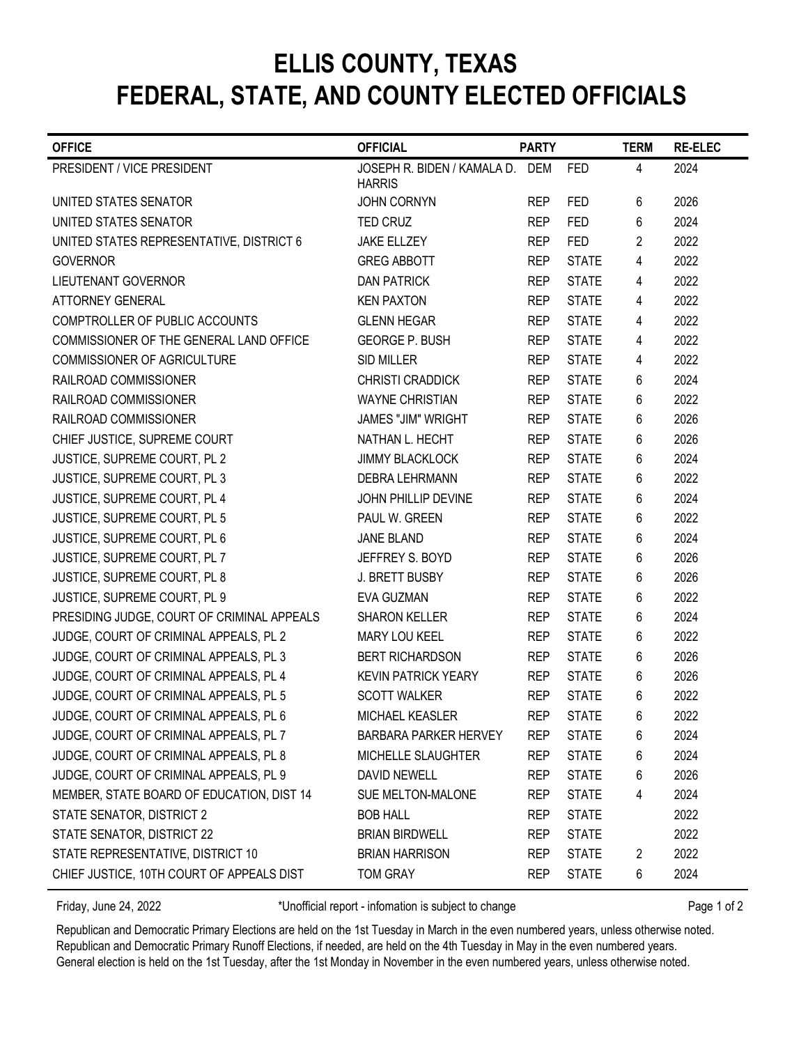## FEDERAL, STATE, AND COUNTY ELECTED OFFICIALS ELLIS COUNTY, TEXAS

|                                                                                                                                                                                                                                                                                                                                                                                                                                                                                              |                                                      |                          |                              | FEDERAL, STATE, AND COUNTY ELECTED OFFICIALS |                |
|----------------------------------------------------------------------------------------------------------------------------------------------------------------------------------------------------------------------------------------------------------------------------------------------------------------------------------------------------------------------------------------------------------------------------------------------------------------------------------------------|------------------------------------------------------|--------------------------|------------------------------|----------------------------------------------|----------------|
| <b>OFFICE</b>                                                                                                                                                                                                                                                                                                                                                                                                                                                                                | <b>OFFICIAL</b>                                      | <b>PARTY</b>             |                              | <b>TERM</b>                                  | <b>RE-ELEC</b> |
| PRESIDENT / VICE PRESIDENT                                                                                                                                                                                                                                                                                                                                                                                                                                                                   | JOSEPH R. BIDEN / KAMALA D.                          | <b>DEM</b>               | <b>FED</b>                   | 4                                            | 2024           |
|                                                                                                                                                                                                                                                                                                                                                                                                                                                                                              | <b>HARRIS</b>                                        |                          |                              |                                              |                |
| UNITED STATES SENATOR                                                                                                                                                                                                                                                                                                                                                                                                                                                                        | <b>JOHN CORNYN</b>                                   | <b>REP</b>               | <b>FED</b>                   | 6                                            | 2026           |
| UNITED STATES SENATOR                                                                                                                                                                                                                                                                                                                                                                                                                                                                        | <b>TED CRUZ</b>                                      | <b>REP</b>               | <b>FED</b>                   | 6                                            | 2024           |
| UNITED STATES REPRESENTATIVE, DISTRICT 6                                                                                                                                                                                                                                                                                                                                                                                                                                                     | <b>JAKE ELLZEY</b>                                   | <b>REP</b>               | <b>FED</b>                   | $\overline{2}$                               | 2022           |
| <b>GOVERNOR</b>                                                                                                                                                                                                                                                                                                                                                                                                                                                                              | <b>GREG ABBOTT</b>                                   | <b>REP</b>               | <b>STATE</b>                 | 4                                            | 2022           |
| <b>LIEUTENANT GOVERNOR</b>                                                                                                                                                                                                                                                                                                                                                                                                                                                                   | <b>DAN PATRICK</b>                                   | <b>REP</b>               | <b>STATE</b>                 | 4                                            | 2022           |
| <b>ATTORNEY GENERAL</b><br>COMPTROLLER OF PUBLIC ACCOUNTS                                                                                                                                                                                                                                                                                                                                                                                                                                    | <b>KEN PAXTON</b><br><b>GLENN HEGAR</b>              | <b>REP</b>               | <b>STATE</b>                 | 4                                            | 2022           |
| COMMISSIONER OF THE GENERAL LAND OFFICE                                                                                                                                                                                                                                                                                                                                                                                                                                                      | <b>GEORGE P. BUSH</b>                                | <b>REP</b><br><b>REP</b> | <b>STATE</b><br><b>STATE</b> | 4<br>4                                       | 2022<br>2022   |
| COMMISSIONER OF AGRICULTURE                                                                                                                                                                                                                                                                                                                                                                                                                                                                  | <b>SID MILLER</b>                                    | <b>REP</b>               | <b>STATE</b>                 | 4                                            | 2022           |
| RAILROAD COMMISSIONER                                                                                                                                                                                                                                                                                                                                                                                                                                                                        | <b>CHRISTI CRADDICK</b>                              | <b>REP</b>               | <b>STATE</b>                 | 6                                            | 2024           |
| RAILROAD COMMISSIONER                                                                                                                                                                                                                                                                                                                                                                                                                                                                        | <b>WAYNE CHRISTIAN</b>                               | <b>REP</b>               | <b>STATE</b>                 | 6                                            | 2022           |
| RAILROAD COMMISSIONER                                                                                                                                                                                                                                                                                                                                                                                                                                                                        | <b>JAMES "JIM" WRIGHT</b>                            | <b>REP</b>               | <b>STATE</b>                 | 6                                            | 2026           |
| CHIEF JUSTICE, SUPREME COURT                                                                                                                                                                                                                                                                                                                                                                                                                                                                 | NATHAN L. HECHT                                      | <b>REP</b>               | <b>STATE</b>                 | 6                                            | 2026           |
| JUSTICE, SUPREME COURT, PL 2                                                                                                                                                                                                                                                                                                                                                                                                                                                                 | <b>JIMMY BLACKLOCK</b>                               | <b>REP</b>               | <b>STATE</b>                 | 6                                            | 2024           |
| JUSTICE, SUPREME COURT, PL 3                                                                                                                                                                                                                                                                                                                                                                                                                                                                 | DEBRA LEHRMANN                                       | <b>REP</b>               | <b>STATE</b>                 | 6                                            | 2022           |
| JUSTICE, SUPREME COURT, PL 4                                                                                                                                                                                                                                                                                                                                                                                                                                                                 | JOHN PHILLIP DEVINE                                  | <b>REP</b>               | <b>STATE</b>                 | 6                                            | 2024           |
| JUSTICE, SUPREME COURT, PL 5                                                                                                                                                                                                                                                                                                                                                                                                                                                                 | PAUL W. GREEN                                        | <b>REP</b>               | <b>STATE</b>                 | 6                                            | 2022           |
| JUSTICE, SUPREME COURT, PL 6                                                                                                                                                                                                                                                                                                                                                                                                                                                                 | <b>JANE BLAND</b>                                    | <b>REP</b>               | <b>STATE</b>                 | 6                                            | 2024           |
| JUSTICE, SUPREME COURT, PL 7                                                                                                                                                                                                                                                                                                                                                                                                                                                                 | JEFFREY S. BOYD                                      | <b>REP</b>               | <b>STATE</b>                 | 6                                            | 2026           |
| JUSTICE, SUPREME COURT, PL 8                                                                                                                                                                                                                                                                                                                                                                                                                                                                 | J. BRETT BUSBY                                       | <b>REP</b>               | <b>STATE</b>                 | 6                                            | 2026           |
| JUSTICE, SUPREME COURT, PL 9                                                                                                                                                                                                                                                                                                                                                                                                                                                                 | EVA GUZMAN                                           | <b>REP</b>               | <b>STATE</b>                 | 6                                            | 2022           |
| PRESIDING JUDGE, COURT OF CRIMINAL APPEALS                                                                                                                                                                                                                                                                                                                                                                                                                                                   | <b>SHARON KELLER</b>                                 | <b>REP</b>               | <b>STATE</b>                 | 6                                            | 2024           |
| JUDGE, COURT OF CRIMINAL APPEALS, PL 2                                                                                                                                                                                                                                                                                                                                                                                                                                                       | MARY LOU KEEL                                        | <b>REP</b>               | <b>STATE</b>                 | 6                                            | 2022           |
| JUDGE, COURT OF CRIMINAL APPEALS, PL 3                                                                                                                                                                                                                                                                                                                                                                                                                                                       | <b>BERT RICHARDSON</b>                               | <b>REP</b>               | <b>STATE</b>                 | 6                                            | 2026           |
| JUDGE, COURT OF CRIMINAL APPEALS, PL 4                                                                                                                                                                                                                                                                                                                                                                                                                                                       | <b>KEVIN PATRICK YEARY</b>                           | <b>REP</b>               | <b>STATE</b>                 | 6                                            | 2026           |
| JUDGE, COURT OF CRIMINAL APPEALS, PL 5                                                                                                                                                                                                                                                                                                                                                                                                                                                       | <b>SCOTT WALKER</b>                                  | <b>REP</b>               | <b>STATE</b>                 | 6                                            | 2022           |
| JUDGE, COURT OF CRIMINAL APPEALS, PL 6                                                                                                                                                                                                                                                                                                                                                                                                                                                       | MICHAEL KEASLER                                      | <b>REP</b>               | <b>STATE</b>                 | 6                                            | 2022           |
| JUDGE, COURT OF CRIMINAL APPEALS, PL 7                                                                                                                                                                                                                                                                                                                                                                                                                                                       | <b>BARBARA PARKER HERVEY</b>                         | <b>REP</b>               | <b>STATE</b>                 | 6                                            | 2024           |
| JUDGE, COURT OF CRIMINAL APPEALS, PL 8                                                                                                                                                                                                                                                                                                                                                                                                                                                       | MICHELLE SLAUGHTER                                   | <b>REP</b>               | <b>STATE</b>                 | 6                                            | 2024           |
| JUDGE, COURT OF CRIMINAL APPEALS, PL 9                                                                                                                                                                                                                                                                                                                                                                                                                                                       | <b>DAVID NEWELL</b>                                  | <b>REP</b>               | <b>STATE</b>                 | 6                                            | 2026           |
| MEMBER, STATE BOARD OF EDUCATION, DIST 14                                                                                                                                                                                                                                                                                                                                                                                                                                                    | SUE MELTON-MALONE                                    | <b>REP</b>               | <b>STATE</b>                 | 4                                            | 2024           |
| STATE SENATOR, DISTRICT 2                                                                                                                                                                                                                                                                                                                                                                                                                                                                    | <b>BOB HALL</b>                                      | <b>REP</b>               | <b>STATE</b>                 |                                              | 2022           |
| STATE SENATOR, DISTRICT 22                                                                                                                                                                                                                                                                                                                                                                                                                                                                   | <b>BRIAN BIRDWELL</b>                                | <b>REP</b>               | <b>STATE</b>                 |                                              | 2022           |
|                                                                                                                                                                                                                                                                                                                                                                                                                                                                                              |                                                      |                          |                              |                                              |                |
|                                                                                                                                                                                                                                                                                                                                                                                                                                                                                              |                                                      |                          |                              |                                              |                |
|                                                                                                                                                                                                                                                                                                                                                                                                                                                                                              |                                                      |                          |                              |                                              |                |
| Friday, June 24, 2022                                                                                                                                                                                                                                                                                                                                                                                                                                                                        | *Unofficial report - infomation is subject to change |                          |                              |                                              | Page 1 of 2    |
| STATE REPRESENTATIVE, DISTRICT 10<br>CHIEF JUSTICE, 10TH COURT OF APPEALS DIST<br>Republican and Democratic Primary Elections are held on the 1st Tuesday in March in the even numbered years, unless otherwise noted.<br>Republican and Democratic Primary Runoff Elections, if needed, are held on the 4th Tuesday in May in the even numbered years.<br>General election is held on the 1st Tuesday, after the 1st Monday in November in the even numbered years, unless otherwise noted. | <b>BRIAN HARRISON</b><br><b>TOM GRAY</b>             | <b>REP</b><br><b>REP</b> | <b>STATE</b><br><b>STATE</b> | 2<br>6                                       | 2022<br>2024   |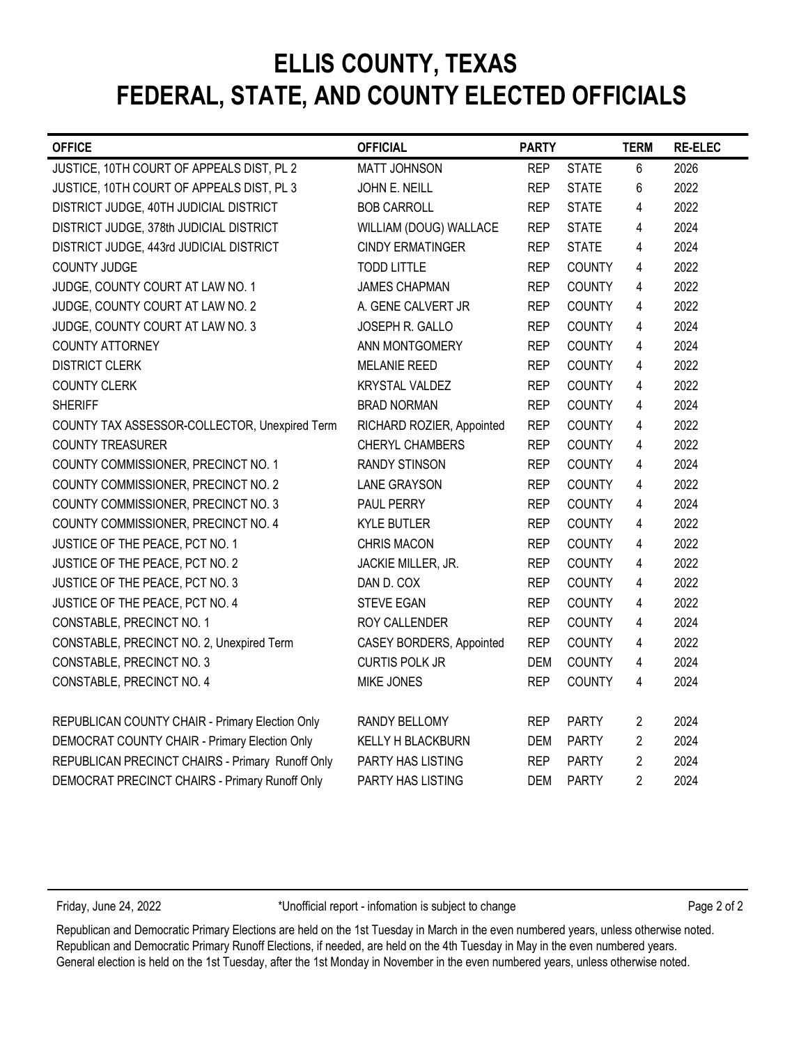# FEDERAL, STATE, AND COUNTY ELECTED OFFICIALS ELLIS COUNTY, TEXAS

| <b>OFFICE</b>                                    | <b>OFFICIAL</b>           | <b>PARTY</b> |               | <b>TERM</b>    | <b>RE-ELEC</b> |
|--------------------------------------------------|---------------------------|--------------|---------------|----------------|----------------|
| JUSTICE, 10TH COURT OF APPEALS DIST, PL 2        | <b>MATT JOHNSON</b>       | <b>REP</b>   | <b>STATE</b>  | 6              | 2026           |
| JUSTICE, 10TH COURT OF APPEALS DIST, PL 3        | JOHN E. NEILL             | <b>REP</b>   | <b>STATE</b>  | 6              | 2022           |
| DISTRICT JUDGE, 40TH JUDICIAL DISTRICT           | <b>BOB CARROLL</b>        | <b>REP</b>   | <b>STATE</b>  | 4              | 2022           |
| DISTRICT JUDGE, 378th JUDICIAL DISTRICT          | WILLIAM (DOUG) WALLACE    | <b>REP</b>   | <b>STATE</b>  | 4              | 2024           |
| DISTRICT JUDGE, 443rd JUDICIAL DISTRICT          | <b>CINDY ERMATINGER</b>   | <b>REP</b>   | <b>STATE</b>  | 4              | 2024           |
| <b>COUNTY JUDGE</b>                              | <b>TODD LITTLE</b>        | <b>REP</b>   | <b>COUNTY</b> | 4              | 2022           |
| JUDGE, COUNTY COURT AT LAW NO. 1                 | <b>JAMES CHAPMAN</b>      | <b>REP</b>   | <b>COUNTY</b> | $\overline{4}$ | 2022           |
| JUDGE, COUNTY COURT AT LAW NO. 2                 | A. GENE CALVERT JR        | <b>REP</b>   | <b>COUNTY</b> | $\overline{4}$ | 2022           |
| JUDGE, COUNTY COURT AT LAW NO. 3                 | JOSEPH R. GALLO           | <b>REP</b>   | <b>COUNTY</b> | $\overline{4}$ | 2024           |
| <b>COUNTY ATTORNEY</b>                           | ANN MONTGOMERY            | <b>REP</b>   | <b>COUNTY</b> | $\overline{4}$ | 2024           |
| <b>DISTRICT CLERK</b>                            | <b>MELANIE REED</b>       | <b>REP</b>   | <b>COUNTY</b> | 4              | 2022           |
| <b>COUNTY CLERK</b>                              | <b>KRYSTAL VALDEZ</b>     | <b>REP</b>   | <b>COUNTY</b> | 4              | 2022           |
| <b>SHERIFF</b>                                   | <b>BRAD NORMAN</b>        | <b>REP</b>   | <b>COUNTY</b> | 4              | 2024           |
| COUNTY TAX ASSESSOR-COLLECTOR, Unexpired Term    | RICHARD ROZIER, Appointed | <b>REP</b>   | <b>COUNTY</b> | $\overline{4}$ | 2022           |
| <b>COUNTY TREASURER</b>                          | CHERYL CHAMBERS           | <b>REP</b>   | <b>COUNTY</b> | 4              | 2022           |
| COUNTY COMMISSIONER, PRECINCT NO. 1              | <b>RANDY STINSON</b>      | <b>REP</b>   | <b>COUNTY</b> | $\overline{4}$ | 2024           |
| COUNTY COMMISSIONER, PRECINCT NO. 2              | <b>LANE GRAYSON</b>       | <b>REP</b>   | <b>COUNTY</b> | $\overline{4}$ | 2022           |
| COUNTY COMMISSIONER, PRECINCT NO. 3              | PAUL PERRY                | <b>REP</b>   | <b>COUNTY</b> | $\overline{4}$ | 2024           |
| COUNTY COMMISSIONER, PRECINCT NO. 4              | <b>KYLE BUTLER</b>        | <b>REP</b>   | <b>COUNTY</b> | $\overline{4}$ | 2022           |
| JUSTICE OF THE PEACE, PCT NO. 1                  | <b>CHRIS MACON</b>        | <b>REP</b>   | <b>COUNTY</b> | $\overline{4}$ | 2022           |
| JUSTICE OF THE PEACE, PCT NO. 2                  | JACKIE MILLER, JR.        | <b>REP</b>   | <b>COUNTY</b> | $\overline{4}$ | 2022           |
| JUSTICE OF THE PEACE, PCT NO. 3                  | DAN D. COX                | <b>REP</b>   | <b>COUNTY</b> | $\overline{4}$ | 2022           |
| JUSTICE OF THE PEACE, PCT NO. 4                  | <b>STEVE EGAN</b>         | <b>REP</b>   | <b>COUNTY</b> | $\overline{4}$ | 2022           |
| CONSTABLE, PRECINCT NO. 1                        | ROY CALLENDER             | <b>REP</b>   | <b>COUNTY</b> | $\overline{4}$ | 2024           |
| CONSTABLE, PRECINCT NO. 2, Unexpired Term        | CASEY BORDERS, Appointed  | <b>REP</b>   | <b>COUNTY</b> | $\overline{4}$ | 2022           |
| CONSTABLE, PRECINCT NO. 3                        | <b>CURTIS POLK JR</b>     | <b>DEM</b>   | <b>COUNTY</b> | $\overline{4}$ | 2024           |
| CONSTABLE, PRECINCT NO. 4                        | <b>MIKE JONES</b>         | <b>REP</b>   | <b>COUNTY</b> | 4              | 2024           |
| REPUBLICAN COUNTY CHAIR - Primary Election Only  | <b>RANDY BELLOMY</b>      | <b>REP</b>   | <b>PARTY</b>  | 2              | 2024           |
| DEMOCRAT COUNTY CHAIR - Primary Election Only    | <b>KELLY H BLACKBURN</b>  | <b>DEM</b>   | <b>PARTY</b>  | 2              | 2024           |
| REPUBLICAN PRECINCT CHAIRS - Primary Runoff Only | PARTY HAS LISTING         | <b>REP</b>   | <b>PARTY</b>  | $\overline{2}$ | 2024           |
| DEMOCRAT PRECINCT CHAIRS - Primary Runoff Only   | PARTY HAS LISTING         | <b>DEM</b>   | <b>PARTY</b>  | 2              | 2024           |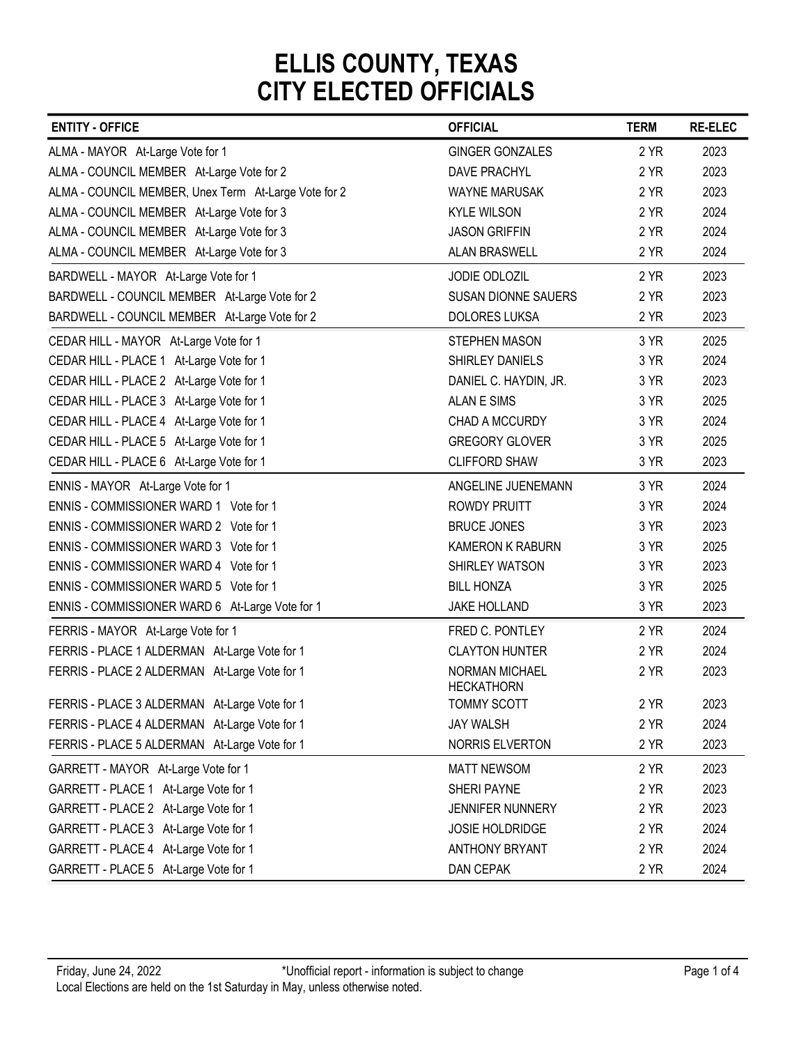| <b>ENTITY - OFFICE</b>                               | <b>OFFICIAL</b>                     | <b>TERM</b> | <b>RE-ELEC</b> |
|------------------------------------------------------|-------------------------------------|-------------|----------------|
| ALMA - MAYOR At-Large Vote for 1                     | <b>GINGER GONZALES</b>              | 2 YR        | 2023           |
| ALMA - COUNCIL MEMBER At-Large Vote for 2            | <b>DAVE PRACHYL</b>                 | 2 YR        | 2023           |
| ALMA - COUNCIL MEMBER, Unex Term At-Large Vote for 2 | <b>WAYNE MARUSAK</b>                | 2 YR        | 2023           |
| ALMA - COUNCIL MEMBER At-Large Vote for 3            | <b>KYLE WILSON</b>                  | 2 YR        | 2024           |
| ALMA - COUNCIL MEMBER At-Large Vote for 3            | <b>JASON GRIFFIN</b>                | 2 YR        | 2024           |
| ALMA - COUNCIL MEMBER At-Large Vote for 3            | <b>ALAN BRASWELL</b>                | 2 YR        | 2024           |
| BARDWELL - MAYOR At-Large Vote for 1                 | JODIE ODLOZIL                       | 2 YR        | 2023           |
| BARDWELL - COUNCIL MEMBER At-Large Vote for 2        | <b>SUSAN DIONNE SAUERS</b>          | 2 YR        | 2023           |
| BARDWELL - COUNCIL MEMBER At-Large Vote for 2        | <b>DOLORES LUKSA</b>                | 2 YR        | 2023           |
| CEDAR HILL - MAYOR At-Large Vote for 1               | <b>STEPHEN MASON</b>                | 3 YR        | 2025           |
| CEDAR HILL - PLACE 1 At-Large Vote for 1             | SHIRLEY DANIELS                     | 3 YR        | 2024           |
| CEDAR HILL - PLACE 2 At-Large Vote for 1             | DANIEL C. HAYDIN, JR.               | 3 YR        | 2023           |
| CEDAR HILL - PLACE 3 At-Large Vote for 1             | <b>ALAN E SIMS</b>                  | 3 YR        | 2025           |
| CEDAR HILL - PLACE 4 At-Large Vote for 1             | CHAD A MCCURDY                      | 3 YR        | 2024           |
| CEDAR HILL - PLACE 5 At-Large Vote for 1             | <b>GREGORY GLOVER</b>               | 3 YR        | 2025           |
| CEDAR HILL - PLACE 6 At-Large Vote for 1             | <b>CLIFFORD SHAW</b>                | 3 YR        | 2023           |
| ENNIS - MAYOR At-Large Vote for 1                    | ANGELINE JUENEMANN                  | 3 YR        | 2024           |
| ENNIS - COMMISSIONER WARD 1 Vote for 1               | <b>ROWDY PRUITT</b>                 | 3 YR        | 2024           |
| ENNIS - COMMISSIONER WARD 2 Vote for 1               | <b>BRUCE JONES</b>                  | 3 YR        | 2023           |
| ENNIS - COMMISSIONER WARD 3 Vote for 1               | KAMERON K RABURN                    | 3 YR        | 2025           |
| ENNIS - COMMISSIONER WARD 4 Vote for 1               | SHIRLEY WATSON                      | 3 YR        | 2023           |
| ENNIS - COMMISSIONER WARD 5 Vote for 1               | <b>BILL HONZA</b>                   | 3 YR        | 2025           |
| ENNIS - COMMISSIONER WARD 6 At-Large Vote for 1      | JAKE HOLLAND                        | 3 YR        | 2023           |
| FERRIS - MAYOR At-Large Vote for 1                   | FRED C. PONTLEY                     | 2 YR        | 2024           |
| FERRIS - PLACE 1 ALDERMAN At-Large Vote for 1        | <b>CLAYTON HUNTER</b>               | 2 YR        | 2024           |
| FERRIS - PLACE 2 ALDERMAN At-Large Vote for 1        | NORMAN MICHAEL<br><b>HECKATHORN</b> | 2 YR        | 2023           |
| FERRIS - PLACE 3 ALDERMAN At-Large Vote for 1        | <b>TOMMY SCOTT</b>                  | 2 YR        | 2023           |
| FERRIS - PLACE 4 ALDERMAN At-Large Vote for 1        | <b>JAY WALSH</b>                    | 2 YR        | 2024           |
| FERRIS - PLACE 5 ALDERMAN At-Large Vote for 1        | NORRIS ELVERTON                     | 2 YR        | 2023           |
| GARRETT - MAYOR At-Large Vote for 1                  | <b>MATT NEWSOM</b>                  | 2 YR        | 2023           |
| GARRETT - PLACE 1 At-Large Vote for 1                | SHERI PAYNE                         | 2 YR        | 2023           |
| GARRETT - PLACE 2 At-Large Vote for 1                | JENNIFER NUNNERY                    | 2 YR        | 2023           |
| GARRETT - PLACE 3 At-Large Vote for 1                | JOSIE HOLDRIDGE                     | 2 YR        | 2024           |
| GARRETT - PLACE 4 At-Large Vote for 1                | <b>ANTHONY BRYANT</b>               | 2 YR        | 2024           |
| GARRETT - PLACE 5 At-Large Vote for 1                | DAN CEPAK                           | 2 YR        | 2024           |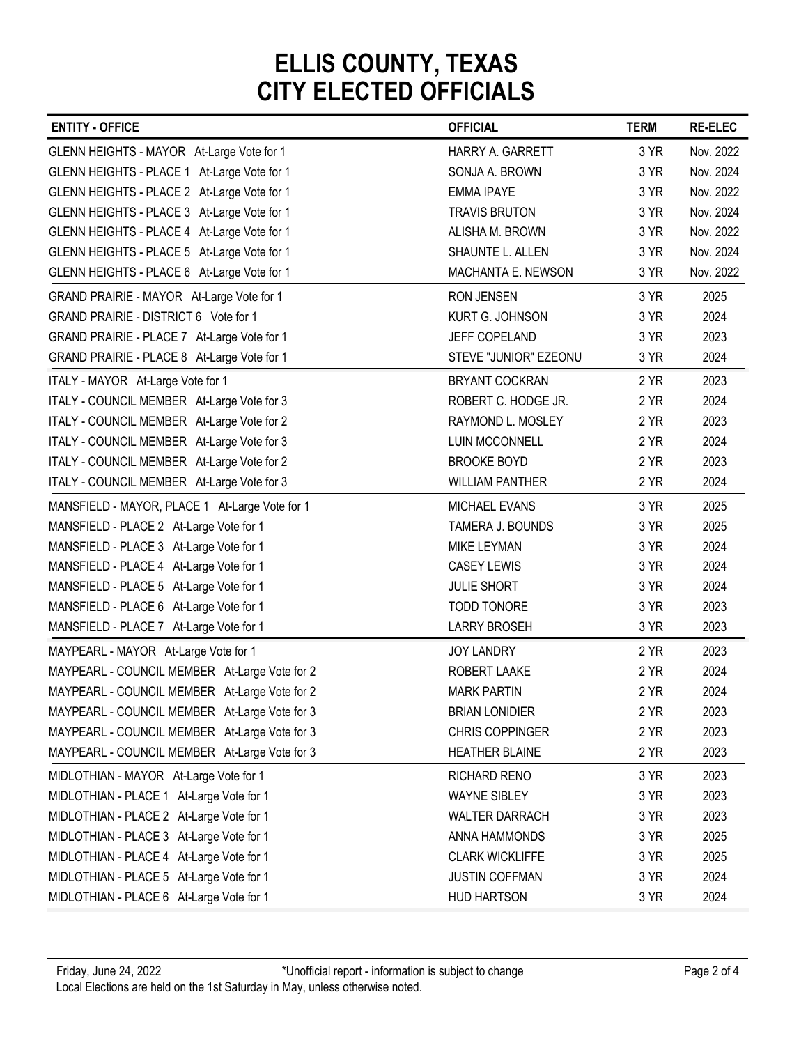| <b>ENTITY - OFFICE</b>                                                                     | <b>OFFICIAL</b>         | <b>TERM</b> | <b>RE-ELEC</b> |
|--------------------------------------------------------------------------------------------|-------------------------|-------------|----------------|
|                                                                                            | <b>HARRY A. GARRETT</b> | 3 YR        | Nov. 2022      |
| GLENN HEIGHTS - MAYOR At-Large Vote for 1                                                  | SONJA A. BROWN          | 3 YR        | Nov. 2024      |
| GLENN HEIGHTS - PLACE 1 At-Large Vote for 1<br>GLENN HEIGHTS - PLACE 2 At-Large Vote for 1 | <b>EMMA IPAYE</b>       | 3 YR        | Nov. 2022      |
| GLENN HEIGHTS - PLACE 3 At-Large Vote for 1                                                | <b>TRAVIS BRUTON</b>    | 3 YR        | Nov. 2024      |
| GLENN HEIGHTS - PLACE 4 At-Large Vote for 1                                                | ALISHA M. BROWN         | 3 YR        | Nov. 2022      |
| GLENN HEIGHTS - PLACE 5 At-Large Vote for 1                                                | SHAUNTE L. ALLEN        | 3 YR        | Nov. 2024      |
| GLENN HEIGHTS - PLACE 6 At-Large Vote for 1                                                | MACHANTA E. NEWSON      | 3 YR        | Nov. 2022      |
| GRAND PRAIRIE - MAYOR At-Large Vote for 1                                                  | <b>RON JENSEN</b>       | 3 YR        | 2025           |
| GRAND PRAIRIE - DISTRICT 6 Vote for 1                                                      | KURT G. JOHNSON         | 3 YR        | 2024           |
| GRAND PRAIRIE - PLACE 7 At-Large Vote for 1                                                | JEFF COPELAND           | 3 YR        | 2023           |
| GRAND PRAIRIE - PLACE 8 At-Large Vote for 1                                                | STEVE "JUNIOR" EZEONU   | 3 YR        | 2024           |
| ITALY - MAYOR At-Large Vote for 1                                                          | <b>BRYANT COCKRAN</b>   | 2 YR        | 2023           |
| ITALY - COUNCIL MEMBER At-Large Vote for 3                                                 | ROBERT C. HODGE JR.     | 2 YR        | 2024           |
| ITALY - COUNCIL MEMBER At-Large Vote for 2                                                 | RAYMOND L. MOSLEY       | 2 YR        | 2023           |
| ITALY - COUNCIL MEMBER At-Large Vote for 3                                                 | LUIN MCCONNELL          | 2 YR        | 2024           |
| ITALY - COUNCIL MEMBER At-Large Vote for 2                                                 | <b>BROOKE BOYD</b>      | 2 YR        | 2023           |
| ITALY - COUNCIL MEMBER At-Large Vote for 3                                                 | <b>WILLIAM PANTHER</b>  | 2 YR        | 2024           |
| MANSFIELD - MAYOR, PLACE 1 At-Large Vote for 1                                             | <b>MICHAEL EVANS</b>    | 3 YR        | 2025           |
| MANSFIELD - PLACE 2 At-Large Vote for 1                                                    | TAMERA J. BOUNDS        | 3 YR        | 2025           |
| MANSFIELD - PLACE 3 At-Large Vote for 1                                                    | MIKE LEYMAN             | 3 YR        | 2024           |
| MANSFIELD - PLACE 4 At-Large Vote for 1                                                    | <b>CASEY LEWIS</b>      | 3 YR        | 2024           |
| MANSFIELD - PLACE 5 At-Large Vote for 1                                                    | <b>JULIE SHORT</b>      | 3 YR        | 2024           |
| MANSFIELD - PLACE 6 At-Large Vote for 1                                                    | TODD TONORE             | 3 YR        | 2023           |
| MANSFIELD - PLACE 7 At-Large Vote for 1                                                    | <b>LARRY BROSEH</b>     | 3 YR        | 2023           |
| MAYPEARL - MAYOR At-Large Vote for 1                                                       | JOY LANDRY              | 2 YR        | 2023           |
| MAYPEARL - COUNCIL MEMBER At-Large Vote for 2                                              | ROBERT LAAKE            | 2 YR        | 2024           |
| MAYPEARL - COUNCIL MEMBER At-Large Vote for 2                                              | <b>MARK PARTIN</b>      | 2 YR        | 2024           |
| MAYPEARL - COUNCIL MEMBER At-Large Vote for 3                                              | <b>BRIAN LONIDIER</b>   | 2 YR        | 2023           |
| MAYPEARL - COUNCIL MEMBER At-Large Vote for 3                                              | CHRIS COPPINGER         | 2 YR        | 2023           |
| MAYPEARL - COUNCIL MEMBER At-Large Vote for 3                                              | <b>HEATHER BLAINE</b>   | 2 YR        | 2023           |
| MIDLOTHIAN - MAYOR At-Large Vote for 1                                                     | RICHARD RENO            | 3 YR        | 2023           |
| MIDLOTHIAN - PLACE 1 At-Large Vote for 1                                                   | <b>WAYNE SIBLEY</b>     | 3 YR        | 2023           |
| MIDLOTHIAN - PLACE 2 At-Large Vote for 1                                                   | <b>WALTER DARRACH</b>   | 3 YR        | 2023           |
| MIDLOTHIAN - PLACE 3 At-Large Vote for 1                                                   | ANNA HAMMONDS           | 3 YR        | 2025           |
| MIDLOTHIAN - PLACE 4 At-Large Vote for 1                                                   | <b>CLARK WICKLIFFE</b>  | 3 YR        | 2025           |
| MIDLOTHIAN - PLACE 5 At-Large Vote for 1                                                   | JUSTIN COFFMAN          | 3 YR        | 2024           |
| MIDLOTHIAN - PLACE 6 At-Large Vote for 1                                                   | <b>HUD HARTSON</b>      | 3 YR        | 2024           |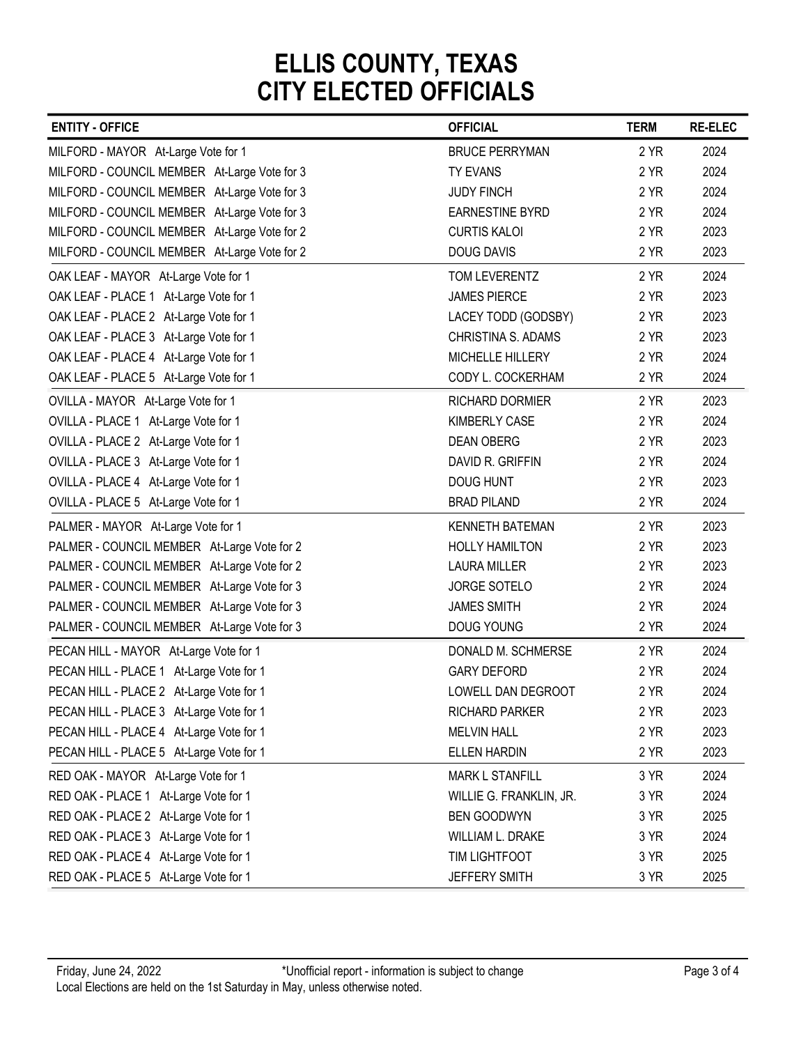| <b>ENTITY - OFFICE</b>                                                               | <b>OFFICIAL</b>                               | <b>TERM</b>  | <b>RE-ELEC</b> |
|--------------------------------------------------------------------------------------|-----------------------------------------------|--------------|----------------|
| MILFORD - MAYOR At-Large Vote for 1                                                  | <b>BRUCE PERRYMAN</b>                         | 2 YR         | 2024           |
| MILFORD - COUNCIL MEMBER At-Large Vote for 3                                         | <b>TY EVANS</b>                               | 2 YR         | 2024           |
| MILFORD - COUNCIL MEMBER At-Large Vote for 3                                         | <b>JUDY FINCH</b>                             | 2 YR         | 2024           |
| MILFORD - COUNCIL MEMBER At-Large Vote for 3                                         | <b>EARNESTINE BYRD</b>                        | 2 YR         | 2024           |
| MILFORD - COUNCIL MEMBER At-Large Vote for 2                                         | <b>CURTIS KALOI</b>                           | 2 YR         | 2023           |
| MILFORD - COUNCIL MEMBER At-Large Vote for 2                                         | <b>DOUG DAVIS</b>                             | 2 YR         | 2023           |
| OAK LEAF - MAYOR At-Large Vote for 1                                                 | TOM LEVERENTZ                                 | 2 YR         | 2024           |
| OAK LEAF - PLACE 1 At-Large Vote for 1                                               | <b>JAMES PIERCE</b>                           | 2 YR         | 2023           |
| OAK LEAF - PLACE 2 At-Large Vote for 1                                               | LACEY TODD (GODSBY)                           | 2 YR         | 2023           |
| OAK LEAF - PLACE 3 At-Large Vote for 1                                               | CHRISTINA S. ADAMS                            | 2 YR         | 2023           |
| OAK LEAF - PLACE 4 At-Large Vote for 1                                               | MICHELLE HILLERY                              | 2 YR         | 2024           |
| OAK LEAF - PLACE 5 At-Large Vote for 1                                               | CODY L. COCKERHAM                             | 2 YR         | 2024           |
| OVILLA - MAYOR At-Large Vote for 1                                                   | RICHARD DORMIER                               | 2 YR         | 2023           |
| OVILLA - PLACE 1 At-Large Vote for 1                                                 | KIMBERLY CASE                                 | 2 YR         | 2024           |
| OVILLA - PLACE 2 At-Large Vote for 1                                                 | <b>DEAN OBERG</b>                             | 2 YR         | 2023           |
| OVILLA - PLACE 3 At-Large Vote for 1                                                 | DAVID R. GRIFFIN                              | 2 YR         | 2024           |
| OVILLA - PLACE 4 At-Large Vote for 1                                                 | DOUG HUNT                                     | 2 YR         | 2023           |
| OVILLA - PLACE 5 At-Large Vote for 1                                                 | <b>BRAD PILAND</b>                            | 2 YR         | 2024           |
| PALMER - MAYOR At-Large Vote for 1                                                   | <b>KENNETH BATEMAN</b>                        | 2 YR         | 2023           |
| PALMER - COUNCIL MEMBER At-Large Vote for 2                                          | <b>HOLLY HAMILTON</b>                         | 2 YR         | 2023           |
| PALMER - COUNCIL MEMBER At-Large Vote for 2                                          | <b>LAURA MILLER</b>                           | 2 YR         | 2023           |
| PALMER - COUNCIL MEMBER At-Large Vote for 3                                          | JORGE SOTELO                                  | 2 YR         | 2024           |
| PALMER - COUNCIL MEMBER At-Large Vote for 3                                          | <b>JAMES SMITH</b>                            | 2 YR         | 2024           |
| PALMER - COUNCIL MEMBER At-Large Vote for 3                                          | DOUG YOUNG                                    | 2 YR         | 2024           |
| PECAN HILL - MAYOR At-Large Vote for 1                                               | DONALD M. SCHMERSE                            | 2 YR         | 2024           |
| PECAN HILL - PLACE 1 At-Large Vote for 1                                             | <b>GARY DEFORD</b>                            | 2 YR         | 2024           |
| PECAN HILL - PLACE 2 At-Large Vote for 1                                             | LOWELL DAN DEGROOT                            | 2 YR         | 2024           |
| PECAN HILL - PLACE 3 At-Large Vote for 1                                             | <b>RICHARD PARKER</b><br><b>MELVIN HALL</b>   | 2 YR<br>2 YR | 2023<br>2023   |
| PECAN HILL - PLACE 4 At-Large Vote for 1<br>PECAN HILL - PLACE 5 At-Large Vote for 1 | ELLEN HARDIN                                  | 2 YR         | 2023           |
|                                                                                      |                                               |              |                |
| RED OAK - MAYOR At-Large Vote for 1                                                  | <b>MARK L STANFILL</b>                        | 3 YR         | 2024           |
| RED OAK - PLACE 1 At-Large Vote for 1<br>RED OAK - PLACE 2 At-Large Vote for 1       | WILLIE G. FRANKLIN, JR.<br><b>BEN GOODWYN</b> | 3 YR<br>3 YR | 2024<br>2025   |
| RED OAK - PLACE 3 At-Large Vote for 1                                                | WILLIAM L. DRAKE                              | 3 YR         | 2024           |
| RED OAK - PLACE 4 At-Large Vote for 1                                                | TIM LIGHTFOOT                                 | 3 YR         | 2025           |
|                                                                                      |                                               | 3 YR         | 2025           |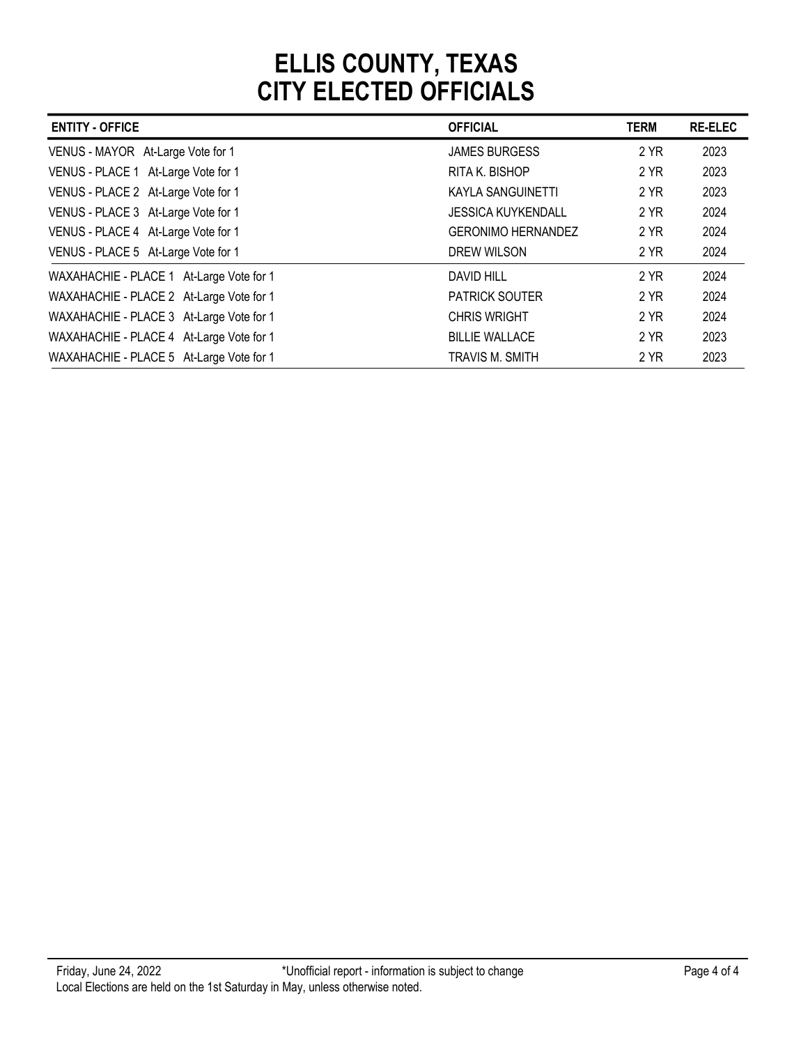|                                                                                      | <b>CITY ELECTED OFFICIALS</b> |             |                |
|--------------------------------------------------------------------------------------|-------------------------------|-------------|----------------|
| <b>ENTITY - OFFICE</b>                                                               | <b>OFFICIAL</b>               | <b>TERM</b> | <b>RE-ELEC</b> |
| VENUS - MAYOR At-Large Vote for 1                                                    | <b>JAMES BURGESS</b>          | 2 YR        | 2023           |
| VENUS - PLACE 1 At-Large Vote for 1                                                  | RITA K. BISHOP                | 2 YR        | 2023           |
| VENUS - PLACE 2 At-Large Vote for 1                                                  | <b>KAYLA SANGUINETTI</b>      | 2 YR        | 2023           |
|                                                                                      |                               | 2 YR        | 2024           |
| VENUS - PLACE 3 At-Large Vote for 1                                                  | <b>JESSICA KUYKENDALL</b>     |             |                |
| VENUS - PLACE 4 At-Large Vote for 1                                                  | <b>GERONIMO HERNANDEZ</b>     | 2 YR        | 2024           |
| VENUS - PLACE 5 At-Large Vote for 1                                                  | DREW WILSON                   | 2 YR        | 2024           |
| WAXAHACHIE - PLACE 1 At-Large Vote for 1                                             | <b>DAVID HILL</b>             | 2 YR        | 2024           |
| WAXAHACHIE - PLACE 2 At-Large Vote for 1                                             | PATRICK SOUTER                | 2 YR        | 2024           |
|                                                                                      | <b>CHRIS WRIGHT</b>           | 2 YR        | 2024           |
| WAXAHACHIE - PLACE 3 At-Large Vote for 1<br>WAXAHACHIE - PLACE 4 At-Large Vote for 1 | <b>BILLIE WALLACE</b>         | 2 YR        | 2023           |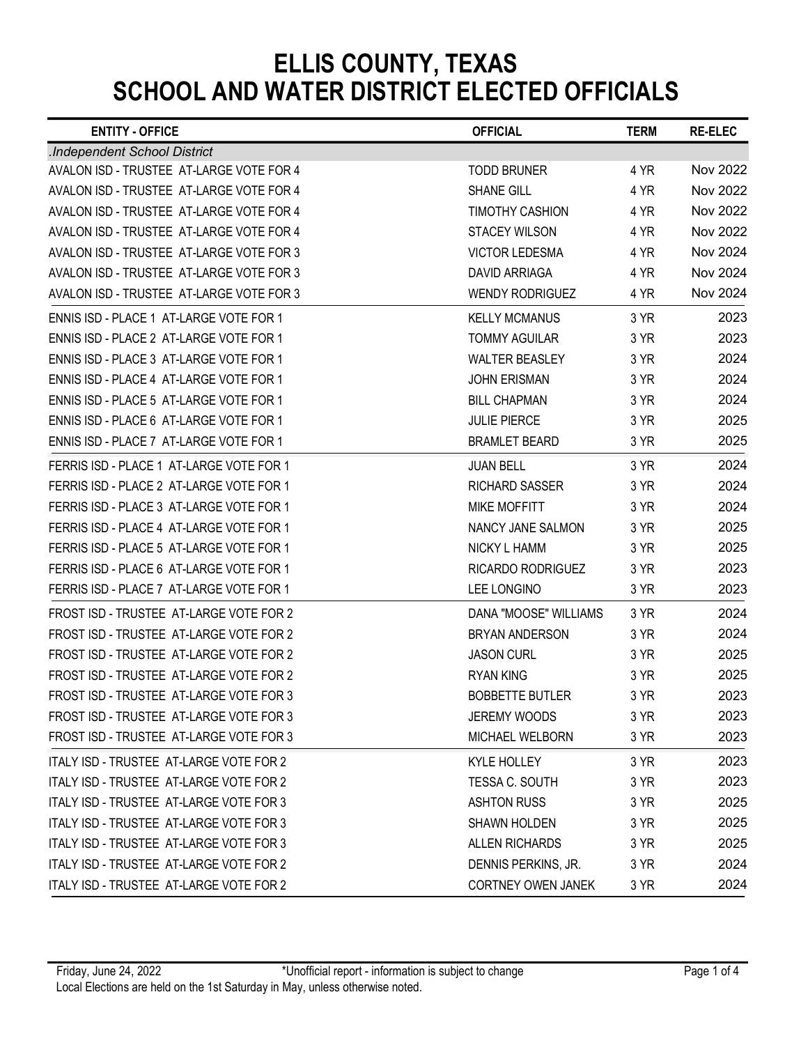| <b>ENTITY - OFFICE</b>                                                             | <b>OFFICIAL</b>                                  | <b>TERM</b>  | <b>RE-ELEC</b> |
|------------------------------------------------------------------------------------|--------------------------------------------------|--------------|----------------|
| .Independent School District                                                       |                                                  |              |                |
| AVALON ISD - TRUSTEE AT-LARGE VOTE FOR 4                                           | <b>TODD BRUNER</b>                               | 4 YR         | Nov 2022       |
| AVALON ISD - TRUSTEE AT-LARGE VOTE FOR 4                                           | <b>SHANE GILL</b>                                | 4 YR         | Nov 2022       |
| AVALON ISD - TRUSTEE AT-LARGE VOTE FOR 4                                           | <b>TIMOTHY CASHION</b>                           | 4 YR         | Nov 2022       |
| AVALON ISD - TRUSTEE AT-LARGE VOTE FOR 4                                           | <b>STACEY WILSON</b>                             | 4 YR         | Nov 2022       |
| AVALON ISD - TRUSTEE AT-LARGE VOTE FOR 3                                           | <b>VICTOR LEDESMA</b>                            | 4 YR         | Nov 2024       |
| AVALON ISD - TRUSTEE AT-LARGE VOTE FOR 3                                           | <b>DAVID ARRIAGA</b>                             | 4 YR         | Nov 2024       |
| AVALON ISD - TRUSTEE AT-LARGE VOTE FOR 3                                           | <b>WENDY RODRIGUEZ</b>                           | 4 YR         | Nov 2024       |
| ENNIS ISD - PLACE 1 AT-LARGE VOTE FOR 1                                            | <b>KELLY MCMANUS</b>                             | 3 YR         | 2023           |
| ENNIS ISD - PLACE 2 AT-LARGE VOTE FOR 1<br>ENNIS ISD - PLACE 3 AT-LARGE VOTE FOR 1 | <b>TOMMY AGUILAR</b><br><b>WALTER BEASLEY</b>    | 3 YR<br>3 YR | 2023<br>2024   |
| ENNIS ISD - PLACE 4 AT-LARGE VOTE FOR 1                                            | <b>JOHN ERISMAN</b>                              | 3 YR         | 2024           |
| ENNIS ISD - PLACE 5 AT-LARGE VOTE FOR 1                                            | <b>BILL CHAPMAN</b>                              | 3 YR         | 2024           |
| ENNIS ISD - PLACE 6 AT-LARGE VOTE FOR 1                                            | <b>JULIE PIERCE</b>                              | 3 YR         | 2025           |
| ENNIS ISD - PLACE 7 AT-LARGE VOTE FOR 1                                            | <b>BRAMLET BEARD</b>                             | 3 YR         | 2025           |
| FERRIS ISD - PLACE 1 AT-LARGE VOTE FOR 1                                           | <b>JUAN BELL</b>                                 | 3 YR         | 2024           |
| FERRIS ISD - PLACE 2 AT-LARGE VOTE FOR 1                                           | <b>RICHARD SASSER</b>                            | 3 YR         | 2024           |
| FERRIS ISD - PLACE 3 AT-LARGE VOTE FOR 1                                           | <b>MIKE MOFFITT</b>                              | 3 YR         | 2024           |
| FERRIS ISD - PLACE 4 AT-LARGE VOTE FOR 1                                           | NANCY JANE SALMON                                | 3 YR         | 2025           |
| FERRIS ISD - PLACE 5 AT-LARGE VOTE FOR 1                                           | <b>NICKY L HAMM</b>                              | 3 YR         | 2025           |
| FERRIS ISD - PLACE 6 AT-LARGE VOTE FOR 1                                           | RICARDO RODRIGUEZ                                | 3 YR         | 2023           |
| FERRIS ISD - PLACE 7 AT-LARGE VOTE FOR 1                                           | LEE LONGINO                                      | 3 YR         | 2023           |
| FROST ISD - TRUSTEE AT-LARGE VOTE FOR 2                                            | DANA "MOOSE" WILLIAMS                            | 3 YR         | 2024           |
| FROST ISD - TRUSTEE AT-LARGE VOTE FOR 2                                            | <b>BRYAN ANDERSON</b>                            | 3 YR         | 2024           |
| FROST ISD - TRUSTEE AT-LARGE VOTE FOR 2                                            | <b>JASON CURL</b>                                | 3 YR         | 2025           |
| FROST ISD - TRUSTEE AT-LARGE VOTE FOR 2                                            | <b>RYAN KING</b>                                 | 3 YR         | 2025           |
| FROST ISD - TRUSTEE AT-LARGE VOTE FOR 3                                            | <b>BOBBETTE BUTLER</b>                           | 3 YR         | 2023           |
| FROST ISD - TRUSTEE AT-LARGE VOTE FOR 3                                            | JEREMY WOODS                                     | 3 YR         | 2023           |
| FROST ISD - TRUSTEE AT-LARGE VOTE FOR 3                                            | MICHAEL WELBORN                                  | 3 YR         | 2023           |
| ITALY ISD - TRUSTEE AT-LARGE VOTE FOR 2                                            | KYLE HOLLEY                                      | 3 YR         | 2023           |
| ITALY ISD - TRUSTEE AT-LARGE VOTE FOR 2                                            | TESSA C. SOUTH                                   | 3 YR         | 2023           |
| ITALY ISD - TRUSTEE AT-LARGE VOTE FOR 3                                            | <b>ASHTON RUSS</b>                               | 3 YR         | 2025           |
| ITALY ISD - TRUSTEE AT-LARGE VOTE FOR 3                                            | <b>SHAWN HOLDEN</b>                              | 3 YR         | 2025           |
| ITALY ISD - TRUSTEE AT-LARGE VOTE FOR 3                                            | ALLEN RICHARDS                                   | 3 YR         | 2025           |
|                                                                                    |                                                  |              |                |
|                                                                                    |                                                  |              |                |
| ITALY ISD - TRUSTEE AT-LARGE VOTE FOR 2<br>ITALY ISD - TRUSTEE AT-LARGE VOTE FOR 2 | DENNIS PERKINS, JR.<br><b>CORTNEY OWEN JANEK</b> | 3 YR<br>3 YR | 2024<br>2024   |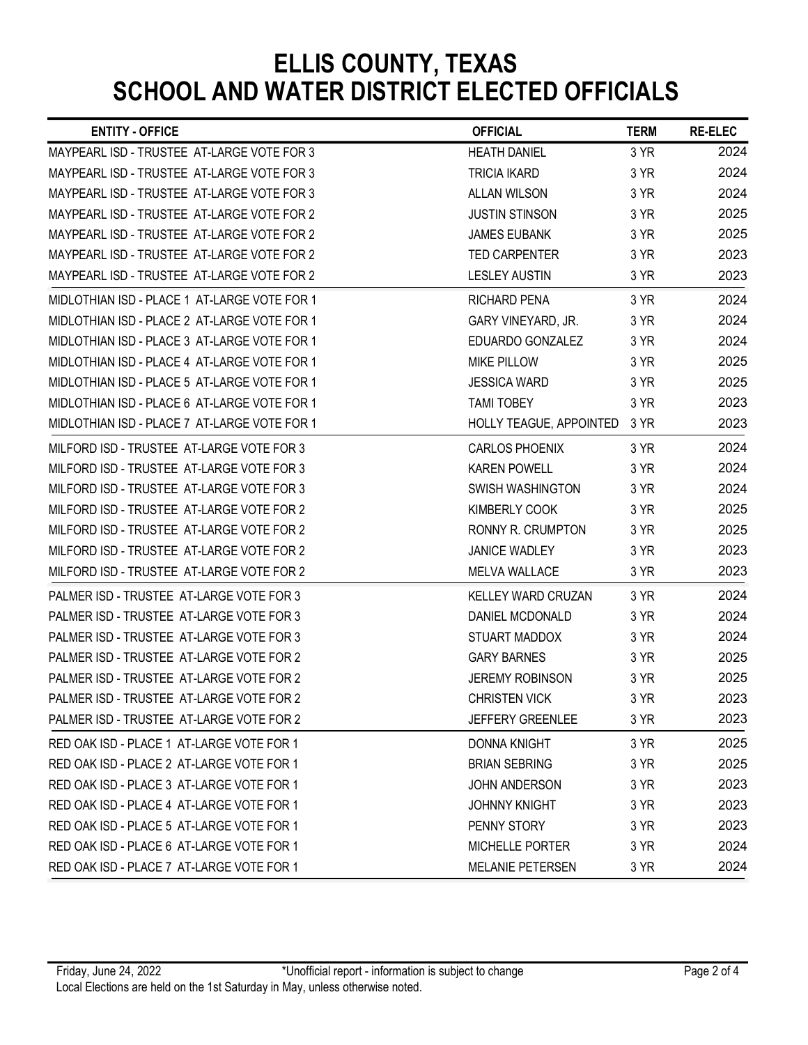| <b>ENTITY - OFFICE</b>                       | <b>OFFICIAL</b>         | <b>TERM</b> | <b>RE-ELEC</b> |
|----------------------------------------------|-------------------------|-------------|----------------|
| MAYPEARL ISD - TRUSTEE AT-LARGE VOTE FOR 3   | <b>HEATH DANIEL</b>     | 3 YR        | 2024           |
| MAYPEARL ISD - TRUSTEE AT-LARGE VOTE FOR 3   | <b>TRICIA IKARD</b>     | 3 YR        | 2024           |
| MAYPEARL ISD - TRUSTEE AT-LARGE VOTE FOR 3   | <b>ALLAN WILSON</b>     | 3 YR        | 2024           |
| MAYPEARL ISD - TRUSTEE AT-LARGE VOTE FOR 2   | <b>JUSTIN STINSON</b>   | 3 YR        | 2025           |
| MAYPEARL ISD - TRUSTEE AT-LARGE VOTE FOR 2   | <b>JAMES EUBANK</b>     | 3 YR        | 2025           |
| MAYPEARL ISD - TRUSTEE AT-LARGE VOTE FOR 2   | <b>TED CARPENTER</b>    | 3 YR        | 2023           |
| MAYPEARL ISD - TRUSTEE AT-LARGE VOTE FOR 2   | <b>LESLEY AUSTIN</b>    | 3 YR        | 2023           |
| MIDLOTHIAN ISD - PLACE 1 AT-LARGE VOTE FOR 1 | <b>RICHARD PENA</b>     | 3 YR        | 2024           |
| MIDLOTHIAN ISD - PLACE 2 AT-LARGE VOTE FOR 1 | GARY VINEYARD, JR.      | 3 YR        | 2024           |
| MIDLOTHIAN ISD - PLACE 3 AT-LARGE VOTE FOR 1 | EDUARDO GONZALEZ        | 3 YR        | 2024           |
| MIDLOTHIAN ISD - PLACE 4 AT-LARGE VOTE FOR 1 | <b>MIKE PILLOW</b>      | 3 YR        | 2025           |
| MIDLOTHIAN ISD - PLACE 5 AT-LARGE VOTE FOR 1 | <b>JESSICA WARD</b>     | 3 YR        | 2025           |
| MIDLOTHIAN ISD - PLACE 6 AT-LARGE VOTE FOR 1 | <b>TAMI TOBEY</b>       | 3 YR        | 2023           |
| MIDLOTHIAN ISD - PLACE 7 AT-LARGE VOTE FOR 1 | HOLLY TEAGUE, APPOINTED | 3 YR        | 2023           |
| MILFORD ISD - TRUSTEE AT-LARGE VOTE FOR 3    | <b>CARLOS PHOENIX</b>   | 3 YR        | 2024           |
| MILFORD ISD - TRUSTEE AT-LARGE VOTE FOR 3    | <b>KAREN POWELL</b>     | 3 YR        | 2024           |
| MILFORD ISD - TRUSTEE AT-LARGE VOTE FOR 3    | SWISH WASHINGTON        | 3 YR        | 2024           |
| MILFORD ISD - TRUSTEE AT-LARGE VOTE FOR 2    | KIMBERLY COOK           | 3 YR        | 2025           |
| MILFORD ISD - TRUSTEE AT-LARGE VOTE FOR 2    | RONNY R. CRUMPTON       | 3 YR        | 2025           |
| MILFORD ISD - TRUSTEE AT-LARGE VOTE FOR 2    | JANICE WADLEY           | 3 YR        | 2023           |
| MILFORD ISD - TRUSTEE AT-LARGE VOTE FOR 2    | <b>MELVA WALLACE</b>    | 3 YR        | 2023           |
| PALMER ISD - TRUSTEE AT-LARGE VOTE FOR 3     | KELLEY WARD CRUZAN      | 3 YR        | 2024           |
| PALMER ISD - TRUSTEE AT-LARGE VOTE FOR 3     | DANIEL MCDONALD         | 3 YR        | 2024           |
| PALMER ISD - TRUSTEE AT-LARGE VOTE FOR 3     | STUART MADDOX           | 3 YR        | 2024           |
| PALMER ISD - TRUSTEE AT-LARGE VOTE FOR 2     | <b>GARY BARNES</b>      | 3 YR        | 2025           |
| PALMER ISD - TRUSTEE AT-LARGE VOTE FOR 2     | <b>JEREMY ROBINSON</b>  | 3 YR        | 2025           |
| PALMER ISD - TRUSTEE AT-LARGE VOTE FOR 2     | <b>CHRISTEN VICK</b>    | 3 YR        | 2023           |
| PALMER ISD - TRUSTEE AT-LARGE VOTE FOR 2     | <b>JEFFERY GREENLEE</b> | 3 YR        | 2023           |
| RED OAK ISD - PLACE 1 AT-LARGE VOTE FOR 1    | <b>DONNA KNIGHT</b>     | 3 YR        | 2025           |
| RED OAK ISD - PLACE 2 AT-LARGE VOTE FOR 1    | <b>BRIAN SEBRING</b>    | 3 YR        | 2025           |
| RED OAK ISD - PLACE 3 AT-LARGE VOTE FOR 1    | JOHN ANDERSON           | 3 YR        | 2023           |
| RED OAK ISD - PLACE 4 AT-LARGE VOTE FOR 1    | <b>JOHNNY KNIGHT</b>    | 3 YR        | 2023           |
| RED OAK ISD - PLACE 5 AT-LARGE VOTE FOR 1    | PENNY STORY             | 3 YR        | 2023           |
| RED OAK ISD - PLACE 6 AT-LARGE VOTE FOR 1    | <b>MICHELLE PORTER</b>  | 3 YR        | 2024           |
| RED OAK ISD - PLACE 7 AT-LARGE VOTE FOR 1    | <b>MELANIE PETERSEN</b> | 3 YR        | 2024           |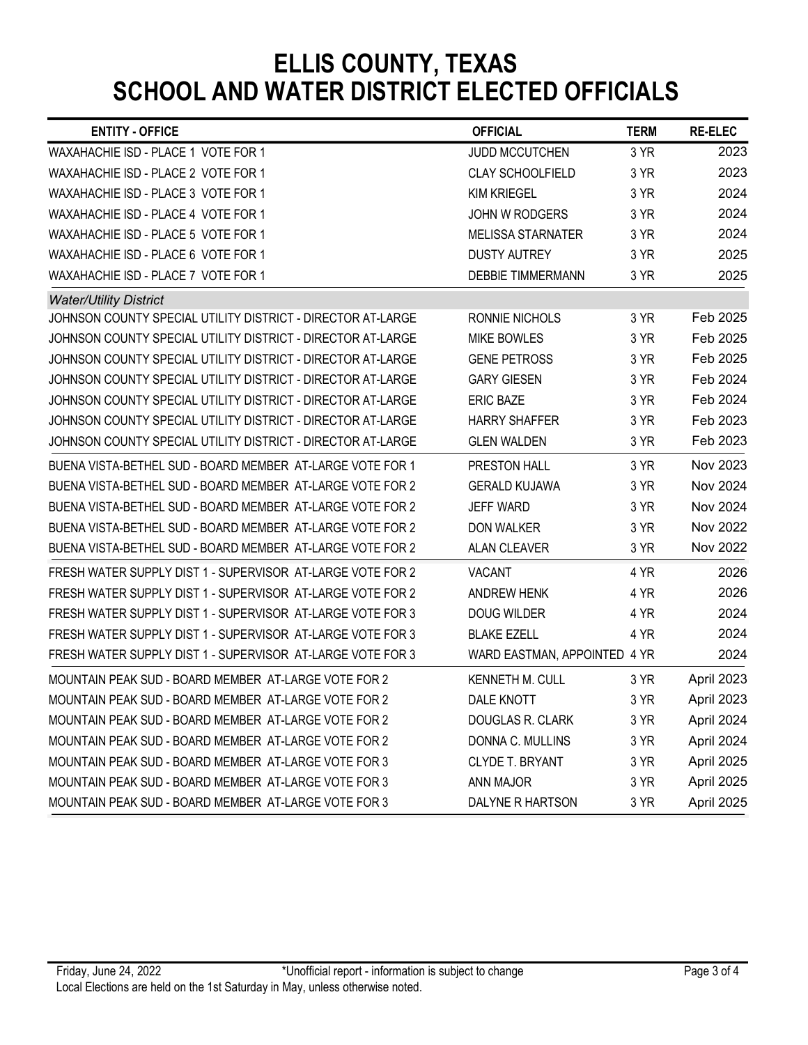| <b>ENTITY - OFFICE</b>                                                                                                   | <b>OFFICIAL</b>                      | <b>TERM</b>  | <b>RE-ELEC</b>           |
|--------------------------------------------------------------------------------------------------------------------------|--------------------------------------|--------------|--------------------------|
| WAXAHACHIE ISD - PLACE 1 VOTE FOR 1                                                                                      | JUDD MCCUTCHEN                       | 3 YR         | 2023                     |
| WAXAHACHIE ISD - PLACE 2 VOTE FOR 1                                                                                      | <b>CLAY SCHOOLFIELD</b>              | 3 YR         | 2023                     |
| WAXAHACHIE ISD - PLACE 3 VOTE FOR 1                                                                                      | <b>KIM KRIEGEL</b>                   | 3 YR         | 2024                     |
| WAXAHACHIE ISD - PLACE 4 VOTE FOR 1                                                                                      | JOHN W RODGERS                       | 3 YR         | 2024                     |
| WAXAHACHIE ISD - PLACE 5 VOTE FOR 1                                                                                      | <b>MELISSA STARNATER</b>             | 3 YR         | 2024                     |
| WAXAHACHIE ISD - PLACE 6 VOTE FOR 1                                                                                      | <b>DUSTY AUTREY</b>                  | 3 YR         | 2025                     |
| WAXAHACHIE ISD - PLACE 7 VOTE FOR 1                                                                                      | <b>DEBBIE TIMMERMANN</b>             | 3 YR         | 2025                     |
| <b>Water/Utility District</b><br>JOHNSON COUNTY SPECIAL UTILITY DISTRICT - DIRECTOR AT-LARGE                             | RONNIE NICHOLS                       | 3 YR         | Feb 2025                 |
| JOHNSON COUNTY SPECIAL UTILITY DISTRICT - DIRECTOR AT-LARGE                                                              | <b>MIKE BOWLES</b>                   | 3 YR         | Feb 2025                 |
| JOHNSON COUNTY SPECIAL UTILITY DISTRICT - DIRECTOR AT-LARGE                                                              | <b>GENE PETROSS</b>                  | 3 YR         | Feb 2025                 |
| JOHNSON COUNTY SPECIAL UTILITY DISTRICT - DIRECTOR AT-LARGE                                                              | <b>GARY GIESEN</b>                   | 3 YR         | Feb 2024                 |
| JOHNSON COUNTY SPECIAL UTILITY DISTRICT - DIRECTOR AT-LARGE                                                              | <b>ERIC BAZE</b>                     | 3 YR         | Feb 2024                 |
| JOHNSON COUNTY SPECIAL UTILITY DISTRICT - DIRECTOR AT-LARGE                                                              | <b>HARRY SHAFFER</b>                 | 3 YR         | Feb 2023                 |
| JOHNSON COUNTY SPECIAL UTILITY DISTRICT - DIRECTOR AT-LARGE                                                              | <b>GLEN WALDEN</b>                   | 3 YR         | Feb 2023                 |
| BUENA VISTA-BETHEL SUD - BOARD MEMBER AT-LARGE VOTE FOR 1                                                                | PRESTON HALL                         | 3 YR         | Nov 2023                 |
| BUENA VISTA-BETHEL SUD - BOARD MEMBER AT-LARGE VOTE FOR 2                                                                | <b>GERALD KUJAWA</b>                 | 3 YR         | Nov 2024                 |
| BUENA VISTA-BETHEL SUD - BOARD MEMBER AT-LARGE VOTE FOR 2                                                                | JEFF WARD                            | 3 YR         | Nov 2024                 |
| BUENA VISTA-BETHEL SUD - BOARD MEMBER AT-LARGE VOTE FOR 2                                                                | DON WALKER                           | 3 YR         | Nov 2022                 |
| BUENA VISTA-BETHEL SUD - BOARD MEMBER AT-LARGE VOTE FOR 2                                                                | ALAN CLEAVER                         | 3 YR         | Nov 2022                 |
| FRESH WATER SUPPLY DIST 1 - SUPERVISOR AT-LARGE VOTE FOR 2                                                               | <b>VACANT</b>                        | 4 YR         | 2026                     |
| FRESH WATER SUPPLY DIST 1 - SUPERVISOR AT-LARGE VOTE FOR 2                                                               | <b>ANDREW HENK</b>                   | 4 YR         | 2026                     |
| FRESH WATER SUPPLY DIST 1 - SUPERVISOR AT-LARGE VOTE FOR 3                                                               | DOUG WILDER                          | 4 YR         | 2024                     |
| FRESH WATER SUPPLY DIST 1 - SUPERVISOR AT-LARGE VOTE FOR 3<br>FRESH WATER SUPPLY DIST 1 - SUPERVISOR AT-LARGE VOTE FOR 3 | <b>BLAKE EZELL</b>                   | 4 YR         | 2024<br>2024             |
|                                                                                                                          | WARD EASTMAN, APPOINTED 4 YR         |              |                          |
| MOUNTAIN PEAK SUD - BOARD MEMBER AT-LARGE VOTE FOR 2<br>MOUNTAIN PEAK SUD - BOARD MEMBER AT-LARGE VOTE FOR 2             | <b>KENNETH M. CULL</b><br>DALE KNOTT | 3 YR<br>3 YR | April 2023<br>April 2023 |
| MOUNTAIN PEAK SUD - BOARD MEMBER AT-LARGE VOTE FOR 2                                                                     | <b>DOUGLAS R. CLARK</b>              | 3 YR         | April 2024               |
| MOUNTAIN PEAK SUD - BOARD MEMBER AT-LARGE VOTE FOR 2                                                                     | DONNA C. MULLINS                     | 3 YR         | April 2024               |
|                                                                                                                          | CLYDE T. BRYANT                      | 3 YR         | April 2025               |
|                                                                                                                          |                                      |              |                          |
| MOUNTAIN PEAK SUD - BOARD MEMBER AT-LARGE VOTE FOR 3<br>MOUNTAIN PEAK SUD - BOARD MEMBER AT-LARGE VOTE FOR 3             | ANN MAJOR                            | 3 YR         | April 2025               |